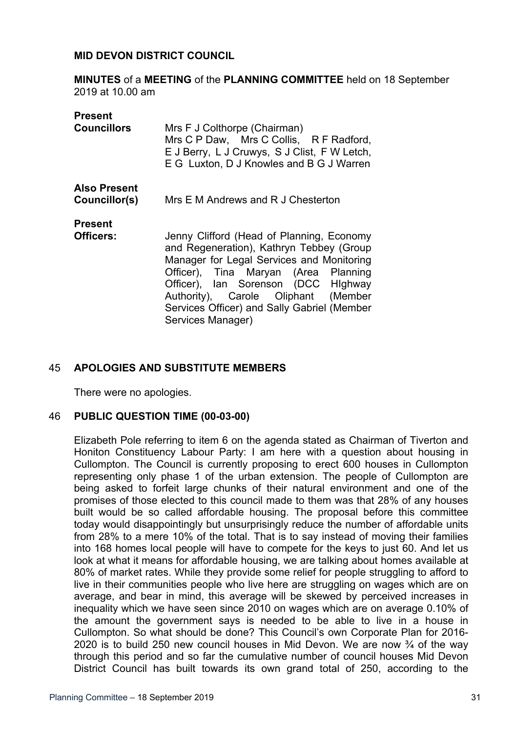### **MID DEVON DISTRICT COUNCIL**

**MINUTES** of a **MEETING** of the **PLANNING COMMITTEE** held on 18 September 2019 at 10.00 am

| Present             |                                                                                                                                                                     |
|---------------------|---------------------------------------------------------------------------------------------------------------------------------------------------------------------|
| <b>Councillors</b>  | Mrs F J Colthorpe (Chairman)<br>Mrs C P Daw, Mrs C Collis, R F Radford,<br>E J Berry, L J Cruwys, S J Clist, F W Letch,<br>E G Luxton, D J Knowles and B G J Warren |
| <b>Also Present</b> |                                                                                                                                                                     |
| Councillor(s)       | Mrs E M Andrews and R J Chesterton                                                                                                                                  |
| <b>Present</b>      |                                                                                                                                                                     |
| Officers:           | Jenny Clifford (Head of Planning, Economy                                                                                                                           |
|                     | and Regeneration), Kathryn Tebbey (Group                                                                                                                            |
|                     | Manager for Legal Services and Monitoring                                                                                                                           |
|                     | Officer), Tina Maryan (Area Planning                                                                                                                                |
|                     | Officer), Ian Sorenson (DCC HIghway                                                                                                                                 |
|                     | Authority), Carole Oliphant (Member                                                                                                                                 |
|                     | Services Officer) and Sally Gabriel (Member                                                                                                                         |
|                     | Services Manager)                                                                                                                                                   |

## 45 **APOLOGIES AND SUBSTITUTE MEMBERS**

There were no apologies.

## 46 **PUBLIC QUESTION TIME (00-03-00)**

Elizabeth Pole referring to item 6 on the agenda stated as Chairman of Tiverton and Honiton Constituency Labour Party: I am here with a question about housing in Cullompton. The Council is currently proposing to erect 600 houses in Cullompton representing only phase 1 of the urban extension. The people of Cullompton are being asked to forfeit large chunks of their natural environment and one of the promises of those elected to this council made to them was that 28% of any houses built would be so called affordable housing. The proposal before this committee today would disappointingly but unsurprisingly reduce the number of affordable units from 28% to a mere 10% of the total. That is to say instead of moving their families into 168 homes local people will have to compete for the keys to just 60. And let us look at what it means for affordable housing, we are talking about homes available at 80% of market rates. While they provide some relief for people struggling to afford to live in their communities people who live here are struggling on wages which are on average, and bear in mind, this average will be skewed by perceived increases in inequality which we have seen since 2010 on wages which are on average 0.10% of the amount the government says is needed to be able to live in a house in Cullompton. So what should be done? This Council's own Corporate Plan for 2016- 2020 is to build 250 new council houses in Mid Devon. We are now  $\frac{3}{4}$  of the way through this period and so far the cumulative number of council houses Mid Devon District Council has built towards its own grand total of 250, according to the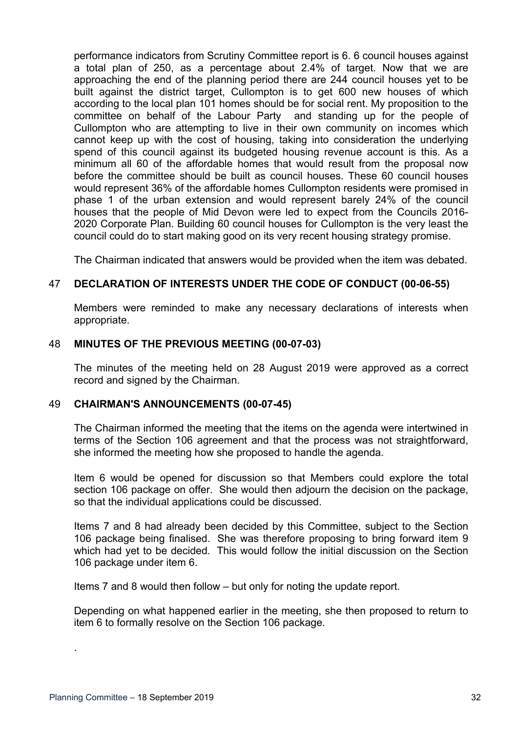performance indicators from Scrutiny Committee report is 6. 6 council houses against a total plan of 250, as a percentage about 2.4% of target. Now that we are approaching the end of the planning period there are 244 council houses yet to be built against the district target, Cullompton is to get 600 new houses of which according to the local plan 101 homes should be for social rent. My proposition to the committee on behalf of the Labour Party and standing up for the people of Cullompton who are attempting to live in their own community on incomes which cannot keep up with the cost of housing, taking into consideration the underlying spend of this council against its budgeted housing revenue account is this. As a minimum all 60 of the affordable homes that would result from the proposal now before the committee should be built as council houses. These 60 council houses would represent 36% of the affordable homes Cullompton residents were promised in phase 1 of the urban extension and would represent barely 24% of the council houses that the people of Mid Devon were led to expect from the Councils 2016- 2020 Corporate Plan. Building 60 council houses for Cullompton is the very least the council could do to start making good on its very recent housing strategy promise.

The Chairman indicated that answers would be provided when the item was debated.

# 47 **DECLARATION OF INTERESTS UNDER THE CODE OF CONDUCT (00-06-55)**

Members were reminded to make any necessary declarations of interests when appropriate.

#### 48 **MINUTES OF THE PREVIOUS MEETING (00-07-03)**

The minutes of the meeting held on 28 August 2019 were approved as a correct record and signed by the Chairman.

#### 49 **CHAIRMAN'S ANNOUNCEMENTS (00-07-45)**

The Chairman informed the meeting that the items on the agenda were intertwined in terms of the Section 106 agreement and that the process was not straightforward, she informed the meeting how she proposed to handle the agenda.

Item 6 would be opened for discussion so that Members could explore the total section 106 package on offer. She would then adjourn the decision on the package, so that the individual applications could be discussed.

Items 7 and 8 had already been decided by this Committee, subject to the Section 106 package being finalised. She was therefore proposing to bring forward item 9 which had yet to be decided. This would follow the initial discussion on the Section 106 package under item 6.

Items 7 and 8 would then follow – but only for noting the update report.

Depending on what happened earlier in the meeting, she then proposed to return to item 6 to formally resolve on the Section 106 package.

.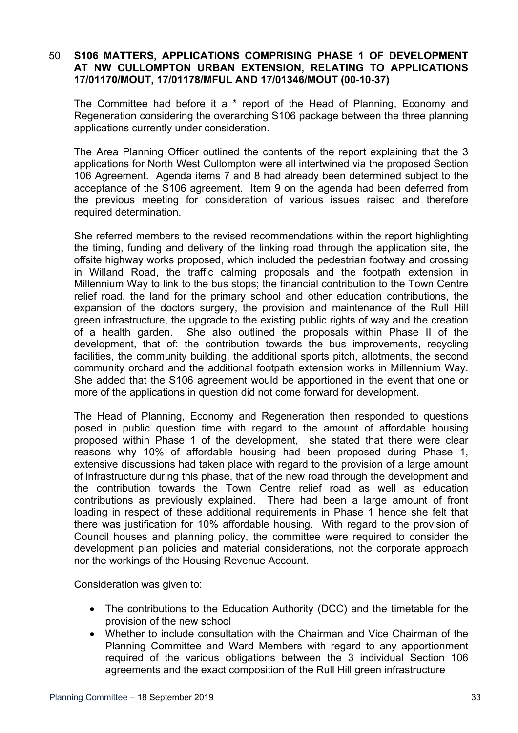# 50 **S106 MATTERS, APPLICATIONS COMPRISING PHASE 1 OF DEVELOPMENT AT NW CULLOMPTON URBAN EXTENSION, RELATING TO APPLICATIONS 17/01170/MOUT, 17/01178/MFUL AND 17/01346/MOUT (00-10-37)**

The Committee had before it a \* report of the Head of Planning, Economy and Regeneration considering the overarching S106 package between the three planning applications currently under consideration.

The Area Planning Officer outlined the contents of the report explaining that the 3 applications for North West Cullompton were all intertwined via the proposed Section 106 Agreement. Agenda items 7 and 8 had already been determined subject to the acceptance of the S106 agreement. Item 9 on the agenda had been deferred from the previous meeting for consideration of various issues raised and therefore required determination.

She referred members to the revised recommendations within the report highlighting the timing, funding and delivery of the linking road through the application site, the offsite highway works proposed, which included the pedestrian footway and crossing in Willand Road, the traffic calming proposals and the footpath extension in Millennium Way to link to the bus stops; the financial contribution to the Town Centre relief road, the land for the primary school and other education contributions, the expansion of the doctors surgery, the provision and maintenance of the Rull Hill green infrastructure, the upgrade to the existing public rights of way and the creation of a health garden. She also outlined the proposals within Phase II of the development, that of: the contribution towards the bus improvements, recycling facilities, the community building, the additional sports pitch, allotments, the second community orchard and the additional footpath extension works in Millennium Way. She added that the S106 agreement would be apportioned in the event that one or more of the applications in question did not come forward for development.

The Head of Planning, Economy and Regeneration then responded to questions posed in public question time with regard to the amount of affordable housing proposed within Phase 1 of the development, she stated that there were clear reasons why 10% of affordable housing had been proposed during Phase 1, extensive discussions had taken place with regard to the provision of a large amount of infrastructure during this phase, that of the new road through the development and the contribution towards the Town Centre relief road as well as education contributions as previously explained. There had been a large amount of front loading in respect of these additional requirements in Phase 1 hence she felt that there was justification for 10% affordable housing. With regard to the provision of Council houses and planning policy, the committee were required to consider the development plan policies and material considerations, not the corporate approach nor the workings of the Housing Revenue Account.

Consideration was given to:

- The contributions to the Education Authority (DCC) and the timetable for the provision of the new school
- Whether to include consultation with the Chairman and Vice Chairman of the Planning Committee and Ward Members with regard to any apportionment required of the various obligations between the 3 individual Section 106 agreements and the exact composition of the Rull Hill green infrastructure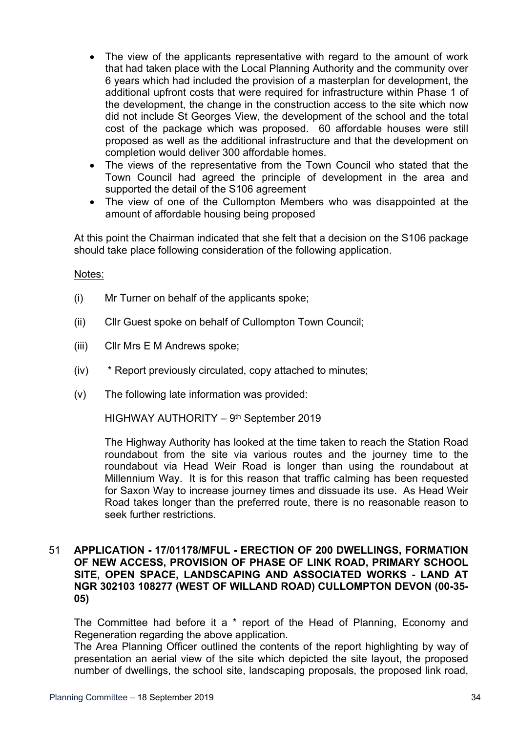- The view of the applicants representative with regard to the amount of work that had taken place with the Local Planning Authority and the community over 6 years which had included the provision of a masterplan for development, the additional upfront costs that were required for infrastructure within Phase 1 of the development, the change in the construction access to the site which now did not include St Georges View, the development of the school and the total cost of the package which was proposed. 60 affordable houses were still proposed as well as the additional infrastructure and that the development on completion would deliver 300 affordable homes.
- The views of the representative from the Town Council who stated that the Town Council had agreed the principle of development in the area and supported the detail of the S106 agreement
- The view of one of the Cullompton Members who was disappointed at the amount of affordable housing being proposed

At this point the Chairman indicated that she felt that a decision on the S106 package should take place following consideration of the following application.

Notes:

- (i) Mr Turner on behalf of the applicants spoke;
- (ii) Cllr Guest spoke on behalf of Cullompton Town Council;
- (iii) Cllr Mrs E M Andrews spoke;
- (iv) \* Report previously circulated, copy attached to minutes;
- (v) The following late information was provided:

HIGHWAY AUTHORITY – 9th September 2019

The Highway Authority has looked at the time taken to reach the Station Road roundabout from the site via various routes and the journey time to the roundabout via Head Weir Road is longer than using the roundabout at Millennium Way. It is for this reason that traffic calming has been requested for Saxon Way to increase journey times and dissuade its use. As Head Weir Road takes longer than the preferred route, there is no reasonable reason to seek further restrictions.

### 51 **APPLICATION - 17/01178/MFUL - ERECTION OF 200 DWELLINGS, FORMATION OF NEW ACCESS, PROVISION OF PHASE OF LINK ROAD, PRIMARY SCHOOL SITE, OPEN SPACE, LANDSCAPING AND ASSOCIATED WORKS - LAND AT NGR 302103 108277 (WEST OF WILLAND ROAD) CULLOMPTON DEVON (00-35- 05)**

The Committee had before it a \* report of the Head of Planning, Economy and Regeneration regarding the above application.

The Area Planning Officer outlined the contents of the report highlighting by way of presentation an aerial view of the site which depicted the site layout, the proposed number of dwellings, the school site, landscaping proposals, the proposed link road,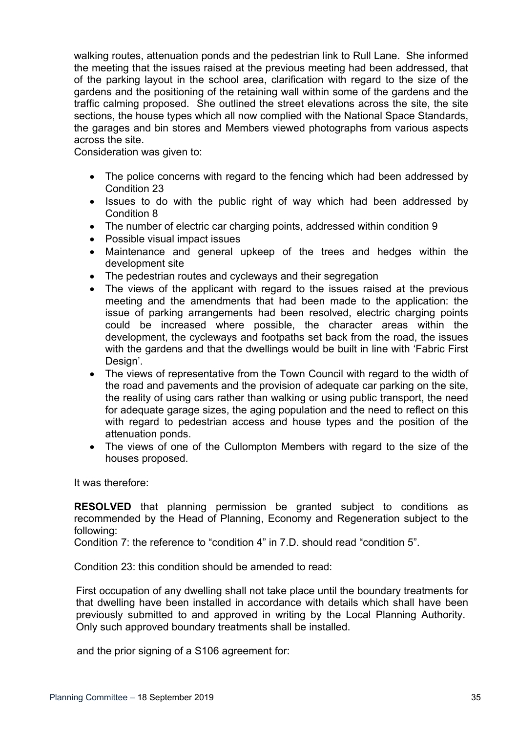walking routes, attenuation ponds and the pedestrian link to Rull Lane. She informed the meeting that the issues raised at the previous meeting had been addressed, that of the parking layout in the school area, clarification with regard to the size of the gardens and the positioning of the retaining wall within some of the gardens and the traffic calming proposed. She outlined the street elevations across the site, the site sections, the house types which all now complied with the National Space Standards, the garages and bin stores and Members viewed photographs from various aspects across the site.

Consideration was given to:

- The police concerns with regard to the fencing which had been addressed by Condition 23
- Issues to do with the public right of way which had been addressed by Condition 8
- The number of electric car charging points, addressed within condition 9
- Possible visual impact issues
- Maintenance and general upkeep of the trees and hedges within the development site
- The pedestrian routes and cycleways and their segregation
- The views of the applicant with regard to the issues raised at the previous meeting and the amendments that had been made to the application: the issue of parking arrangements had been resolved, electric charging points could be increased where possible, the character areas within the development, the cycleways and footpaths set back from the road, the issues with the gardens and that the dwellings would be built in line with 'Fabric First Design'.
- The views of representative from the Town Council with regard to the width of the road and pavements and the provision of adequate car parking on the site, the reality of using cars rather than walking or using public transport, the need for adequate garage sizes, the aging population and the need to reflect on this with regard to pedestrian access and house types and the position of the attenuation ponds.
- The views of one of the Cullompton Members with regard to the size of the houses proposed.

It was therefore:

**RESOLVED** that planning permission be granted subject to conditions as recommended by the Head of Planning, Economy and Regeneration subject to the following:

Condition 7: the reference to "condition 4" in 7.D. should read "condition 5".

Condition 23: this condition should be amended to read:

First occupation of any dwelling shall not take place until the boundary treatments for that dwelling have been installed in accordance with details which shall have been previously submitted to and approved in writing by the Local Planning Authority. Only such approved boundary treatments shall be installed.

and the prior signing of a S106 agreement for: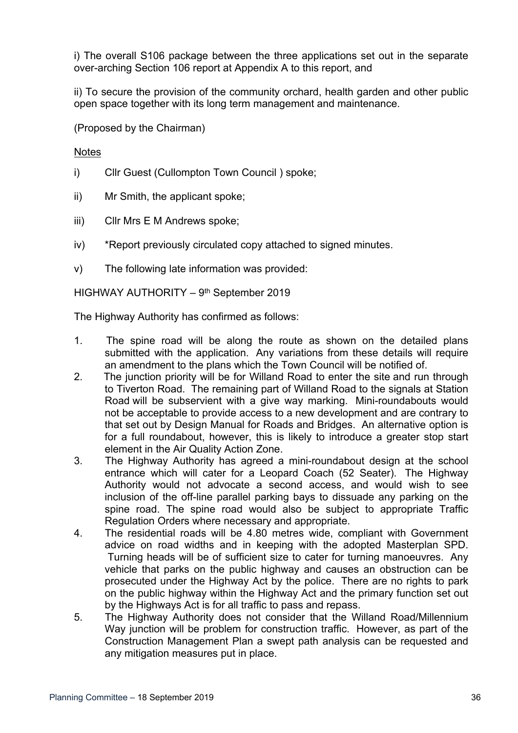i) The overall S106 package between the three applications set out in the separate over-arching Section 106 report at Appendix A to this report, and

ii) To secure the provision of the community orchard, health garden and other public open space together with its long term management and maintenance.

(Proposed by the Chairman)

# **Notes**

- i) Cllr Guest (Cullompton Town Council ) spoke;
- ii) Mr Smith, the applicant spoke;
- iii) Cllr Mrs E M Andrews spoke;
- iv) \*Report previously circulated copy attached to signed minutes.
- v) The following late information was provided:

HIGHWAY AUTHORITY - 9th September 2019

The Highway Authority has confirmed as follows:

- 1. The spine road will be along the route as shown on the detailed plans submitted with the application. Any variations from these details will require an amendment to the plans which the Town Council will be notified of.
- 2. The junction priority will be for Willand Road to enter the site and run through to Tiverton Road. The remaining part of Willand Road to the signals at Station Road will be subservient with a give way marking. Mini-roundabouts would not be acceptable to provide access to a new development and are contrary to that set out by Design Manual for Roads and Bridges. An alternative option is for a full roundabout, however, this is likely to introduce a greater stop start element in the Air Quality Action Zone.
- 3. The Highway Authority has agreed a mini-roundabout design at the school entrance which will cater for a Leopard Coach (52 Seater). The Highway Authority would not advocate a second access, and would wish to see inclusion of the off-line parallel parking bays to dissuade any parking on the spine road. The spine road would also be subject to appropriate Traffic Regulation Orders where necessary and appropriate.
- 4. The residential roads will be 4.80 metres wide, compliant with Government advice on road widths and in keeping with the adopted Masterplan SPD. Turning heads will be of sufficient size to cater for turning manoeuvres. Any vehicle that parks on the public highway and causes an obstruction can be prosecuted under the Highway Act by the police. There are no rights to park on the public highway within the Highway Act and the primary function set out by the Highways Act is for all traffic to pass and repass.
- 5. The Highway Authority does not consider that the Willand Road/Millennium Way junction will be problem for construction traffic. However, as part of the Construction Management Plan a swept path analysis can be requested and any mitigation measures put in place.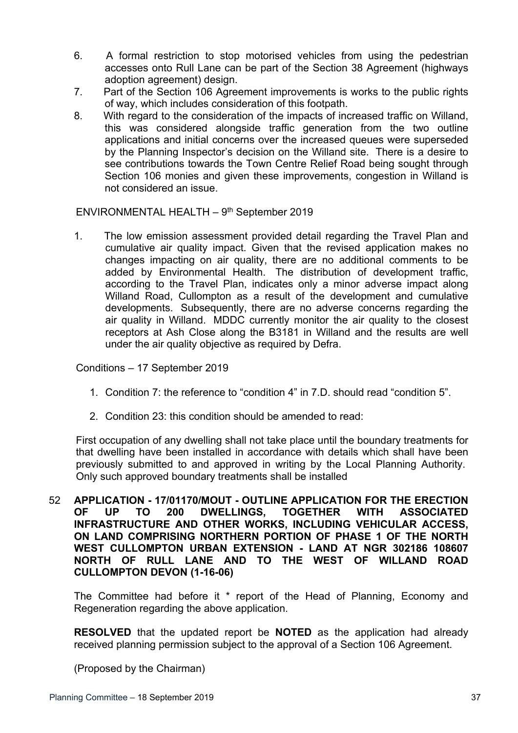- 6. A formal restriction to stop motorised vehicles from using the pedestrian accesses onto Rull Lane can be part of the Section 38 Agreement (highways adoption agreement) design.
- 7. Part of the Section 106 Agreement improvements is works to the public rights of way, which includes consideration of this footpath.
- 8. With regard to the consideration of the impacts of increased traffic on Willand, this was considered alongside traffic generation from the two outline applications and initial concerns over the increased queues were superseded by the Planning Inspector's decision on the Willand site. There is a desire to see contributions towards the Town Centre Relief Road being sought through Section 106 monies and given these improvements, congestion in Willand is not considered an issue.

ENVIRONMENTAL HEALTH - 9<sup>th</sup> September 2019

1. The low emission assessment provided detail regarding the Travel Plan and cumulative air quality impact. Given that the revised application makes no changes impacting on air quality, there are no additional comments to be added by Environmental Health. The distribution of development traffic, according to the Travel Plan, indicates only a minor adverse impact along Willand Road, Cullompton as a result of the development and cumulative developments. Subsequently, there are no adverse concerns regarding the air quality in Willand. MDDC currently monitor the air quality to the closest receptors at Ash Close along the B3181 in Willand and the results are well under the air quality objective as required by Defra.

Conditions – 17 September 2019

- 1. Condition 7: the reference to "condition 4" in 7.D. should read "condition 5".
- 2. Condition 23: this condition should be amended to read:

First occupation of any dwelling shall not take place until the boundary treatments for that dwelling have been installed in accordance with details which shall have been previously submitted to and approved in writing by the Local Planning Authority. Only such approved boundary treatments shall be installed

52 **APPLICATION - 17/01170/MOUT - OUTLINE APPLICATION FOR THE ERECTION OF UP TO 200 DWELLINGS, TOGETHER WITH ASSOCIATED INFRASTRUCTURE AND OTHER WORKS, INCLUDING VEHICULAR ACCESS, ON LAND COMPRISING NORTHERN PORTION OF PHASE 1 OF THE NORTH WEST CULLOMPTON URBAN EXTENSION - LAND AT NGR 302186 108607 NORTH OF RULL LANE AND TO THE WEST OF WILLAND ROAD CULLOMPTON DEVON (1-16-06)**

The Committee had before it \* report of the Head of Planning, Economy and Regeneration regarding the above application.

**RESOLVED** that the updated report be **NOTED** as the application had already received planning permission subject to the approval of a Section 106 Agreement.

(Proposed by the Chairman)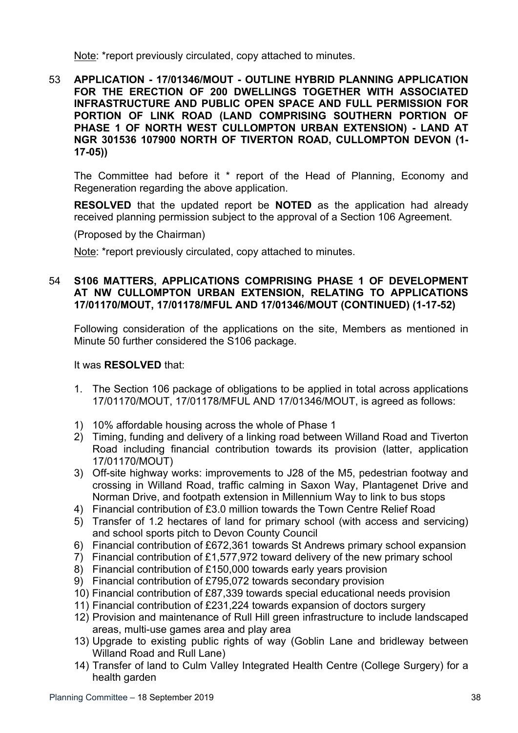Note: \*report previously circulated, copy attached to minutes.

53 **APPLICATION - 17/01346/MOUT - OUTLINE HYBRID PLANNING APPLICATION FOR THE ERECTION OF 200 DWELLINGS TOGETHER WITH ASSOCIATED INFRASTRUCTURE AND PUBLIC OPEN SPACE AND FULL PERMISSION FOR PORTION OF LINK ROAD (LAND COMPRISING SOUTHERN PORTION OF PHASE 1 OF NORTH WEST CULLOMPTON URBAN EXTENSION) - LAND AT NGR 301536 107900 NORTH OF TIVERTON ROAD, CULLOMPTON DEVON (1- 17-05))**

The Committee had before it \* report of the Head of Planning, Economy and Regeneration regarding the above application.

**RESOLVED** that the updated report be **NOTED** as the application had already received planning permission subject to the approval of a Section 106 Agreement.

(Proposed by the Chairman)

Note: \*report previously circulated, copy attached to minutes.

# 54 **S106 MATTERS, APPLICATIONS COMPRISING PHASE 1 OF DEVELOPMENT AT NW CULLOMPTON URBAN EXTENSION, RELATING TO APPLICATIONS 17/01170/MOUT, 17/01178/MFUL AND 17/01346/MOUT (CONTINUED) (1-17-52)**

Following consideration of the applications on the site, Members as mentioned in Minute 50 further considered the S106 package.

### It was **RESOLVED** that:

- 1. The Section 106 package of obligations to be applied in total across applications 17/01170/MOUT, 17/01178/MFUL AND 17/01346/MOUT, is agreed as follows:
- 1) 10% affordable housing across the whole of Phase 1
- 2) Timing, funding and delivery of a linking road between Willand Road and Tiverton Road including financial contribution towards its provision (latter, application 17/01170/MOUT)
- 3) Off-site highway works: improvements to J28 of the M5, pedestrian footway and crossing in Willand Road, traffic calming in Saxon Way, Plantagenet Drive and Norman Drive, and footpath extension in Millennium Way to link to bus stops
- 4) Financial contribution of £3.0 million towards the Town Centre Relief Road
- 5) Transfer of 1.2 hectares of land for primary school (with access and servicing) and school sports pitch to Devon County Council
- 6) Financial contribution of £672,361 towards St Andrews primary school expansion
- 7) Financial contribution of £1,577,972 toward delivery of the new primary school
- 8) Financial contribution of £150,000 towards early years provision
- 9) Financial contribution of £795,072 towards secondary provision
- 10) Financial contribution of £87,339 towards special educational needs provision
- 11) Financial contribution of £231,224 towards expansion of doctors surgery
- 12) Provision and maintenance of Rull Hill green infrastructure to include landscaped areas, multi-use games area and play area
- 13) Upgrade to existing public rights of way (Goblin Lane and bridleway between Willand Road and Rull Lane)
- 14) Transfer of land to Culm Valley Integrated Health Centre (College Surgery) for a health garden